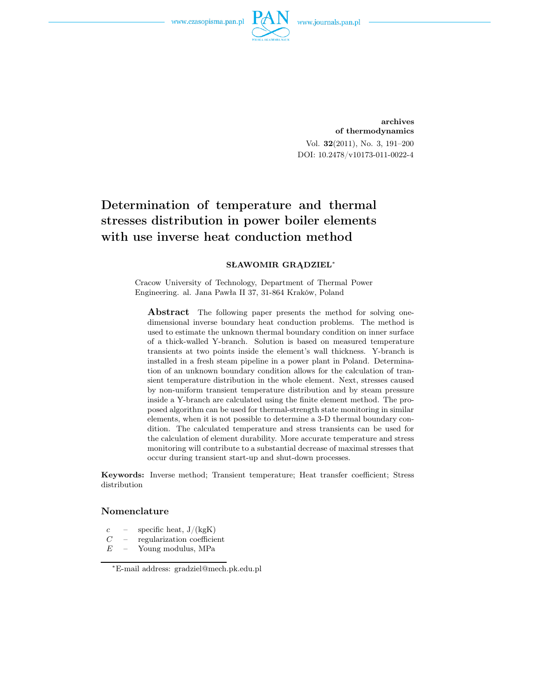

archives of thermodynamics Vol. 32(2011), No. 3, 191–200 DOI: 10.2478/v10173-011-0022-4

# Determination of temperature and thermal stresses distribution in power boiler elements with use inverse heat conduction method

#### SŁAWOMIR GRĄDZIEL<sup>∗</sup>

Cracow University of Technology, Department of Thermal Power Engineering. al. Jana Pawła II 37, 31-864 Kraków, Poland

Abstract The following paper presents the method for solving onedimensional inverse boundary heat conduction problems. The method is used to estimate the unknown thermal boundary condition on inner surface of a thick-walled Y-branch. Solution is based on measured temperature transients at two points inside the element's wall thickness. Y-branch is installed in a fresh steam pipeline in a power plant in Poland. Determination of an unknown boundary condition allows for the calculation of transient temperature distribution in the whole element. Next, stresses caused by non-uniform transient temperature distribution and by steam pressure inside a Y-branch are calculated using the finite element method. The proposed algorithm can be used for thermal-strength state monitoring in similar elements, when it is not possible to determine a 3-D thermal boundary condition. The calculated temperature and stress transients can be used for the calculation of element durability. More accurate temperature and stress monitoring will contribute to a substantial decrease of maximal stresses that occur during transient start-up and shut-down processes.

Keywords: Inverse method; Transient temperature; Heat transfer coefficient; Stress distribution

#### Nomenclature

- $c$  specific heat,  $J/(kgK)$
- $C$  regularization coefficient<br> $E$  Young modulus, MPa
- Young modulus, MPa

<sup>∗</sup>E-mail address: gradziel@mech.pk.edu.pl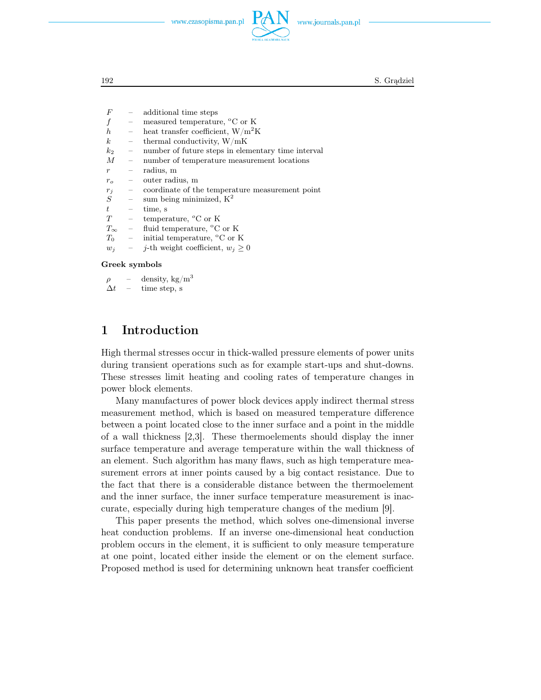

192 S. Grądziel

 $F$  – additional time steps measured temperature,  $\rm{^{\circ}C}$  or K h – heat transfer coefficient,  $W/m^2K$  $k$  – thermal conductivity,  $W/mK$  $k_2$  – number of future steps in elementary time interval M – number of temperature measurement locations  $r =$  radius, m r*<sup>o</sup>* – outer radius, m  $r_j$  – coordinate of the temperature measurement point  $S$  – sum being minimized,  $K^2$ sum being minimized,  $\mathbf{K}^2$  $t = \text{time, s}$ <br>  $T = \text{temperature, s}$ temperature, <sup>o</sup>C or K  $T_{\infty}$  – fluid temperature, °C or K<br>  $T_0$  – initial temperature, °C or l initial temperature,  $\rm{^{\circ}C}$  or K  $w_j$  – *j*-th weight coefficient,  $w_j \geq 0$ 

#### Greek symbols

 $\rho$  – density, kg/m<sup>3</sup>

```
\Delta t = \text{time step, s}
```
### 1 Introduction

High thermal stresses occur in thick-walled pressure elements of power units during transient operations such as for example start-ups and shut-downs. These stresses limit heating and cooling rates of temperature changes in power block elements.

Many manufactures of power block devices apply indirect thermal stress measurement method, which is based on measured temperature difference between a point located close to the inner surface and a point in the middle of a wall thickness [2,3]. These thermoelements should display the inner surface temperature and average temperature within the wall thickness of an element. Such algorithm has many flaws, such as high temperature measurement errors at inner points caused by a big contact resistance. Due to the fact that there is a considerable distance between the thermoelement and the inner surface, the inner surface temperature measurement is inaccurate, especially during high temperature changes of the medium [9].

This paper presents the method, which solves one-dimensional inverse heat conduction problems. If an inverse one-dimensional heat conduction problem occurs in the element, it is sufficient to only measure temperature at one point, located either inside the element or on the element surface. Proposed method is used for determining unknown heat transfer coefficient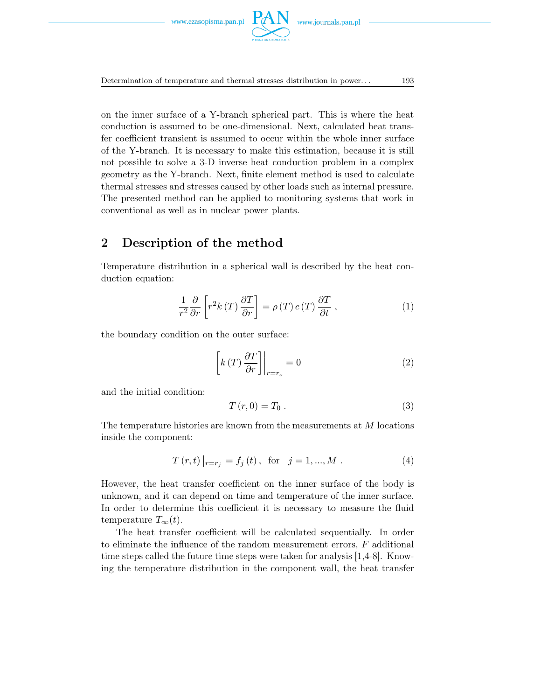Determination of temperature and thermal stresses distribution in power. . . 193

on the inner surface of a Y-branch spherical part. This is where the heat conduction is assumed to be one-dimensional. Next, calculated heat transfer coefficient transient is assumed to occur within the whole inner surface of the Y-branch. It is necessary to make this estimation, because it is still not possible to solve a 3-D inverse heat conduction problem in a complex geometry as the Y-branch. Next, finite element method is used to calculate thermal stresses and stresses caused by other loads such as internal pressure. The presented method can be applied to monitoring systems that work in conventional as well as in nuclear power plants.

## 2 Description of the method

Temperature distribution in a spherical wall is described by the heat conduction equation:

$$
\frac{1}{r^2} \frac{\partial}{\partial r} \left[ r^2 k(T) \frac{\partial T}{\partial r} \right] = \rho(T) c(T) \frac{\partial T}{\partial t} , \qquad (1)
$$

the boundary condition on the outer surface:

$$
\left[k(T)\frac{\partial T}{\partial r}\right]\bigg|_{r=r_o} = 0\tag{2}
$$

and the initial condition:

$$
T(r,0) = T_0.
$$
\n<sup>(3)</sup>

The temperature histories are known from the measurements at M locations inside the component:

$$
T(r,t)|_{r=r_j} = f_j(t), \text{ for } j = 1,...,M.
$$
 (4)

However, the heat transfer coefficient on the inner surface of the body is unknown, and it can depend on time and temperature of the inner surface. In order to determine this coefficient it is necessary to measure the fluid temperature  $T_{\infty}(t)$ .

The heat transfer coefficient will be calculated sequentially. In order to eliminate the influence of the random measurement errors,  $F$  additional time steps called the future time steps were taken for analysis [1,4-8]. Knowing the temperature distribution in the component wall, the heat transfer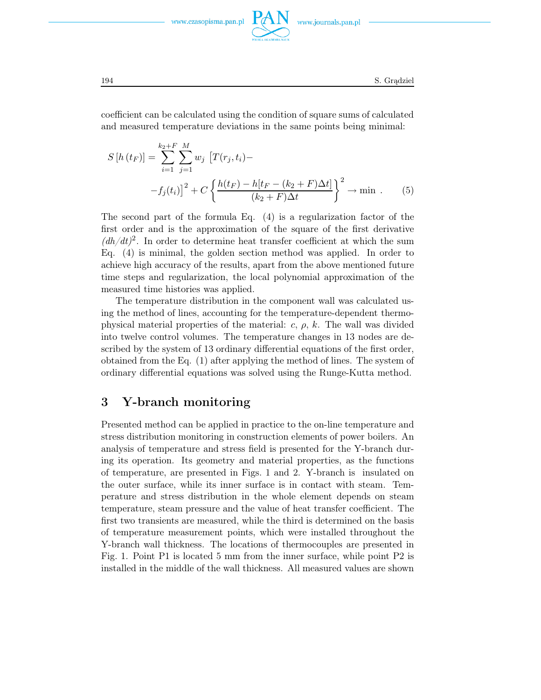www.journals.pan.pl



194 S. Grądziel

coefficient can be calculated using the condition of square sums of calculated and measured temperature deviations in the same points being minimal:

$$
S[h(t_F)] = \sum_{i=1}^{k_2 + F} \sum_{j=1}^{M} w_j \left[ T(r_j, t_i) - \frac{F(t_F - (k_2 + F)\Delta t)}{(k_2 + F)\Delta t} \right]^2 \to \min .
$$
 (5)

The second part of the formula Eq. (4) is a regularization factor of the first order and is the approximation of the square of the first derivative  $(dh/dt)^2$ . In order to determine heat transfer coefficient at which the sum Eq. (4) is minimal, the golden section method was applied. In order to achieve high accuracy of the results, apart from the above mentioned future time steps and regularization, the local polynomial approximation of the measured time histories was applied.

The temperature distribution in the component wall was calculated using the method of lines, accounting for the temperature-dependent thermophysical material properties of the material:  $c, \rho, k$ . The wall was divided into twelve control volumes. The temperature changes in 13 nodes are described by the system of 13 ordinary differential equations of the first order, obtained from the Eq. (1) after applying the method of lines. The system of ordinary differential equations was solved using the Runge-Kutta method.

## 3 Y-branch monitoring

Presented method can be applied in practice to the on-line temperature and stress distribution monitoring in construction elements of power boilers. An analysis of temperature and stress field is presented for the Y-branch during its operation. Its geometry and material properties, as the functions of temperature, are presented in Figs. 1 and 2. Y-branch is insulated on the outer surface, while its inner surface is in contact with steam. Temperature and stress distribution in the whole element depends on steam temperature, steam pressure and the value of heat transfer coefficient. The first two transients are measured, while the third is determined on the basis of temperature measurement points, which were installed throughout the Y-branch wall thickness. The locations of thermocouples are presented in Fig. 1. Point P1 is located 5 mm from the inner surface, while point P2 is installed in the middle of the wall thickness. All measured values are shown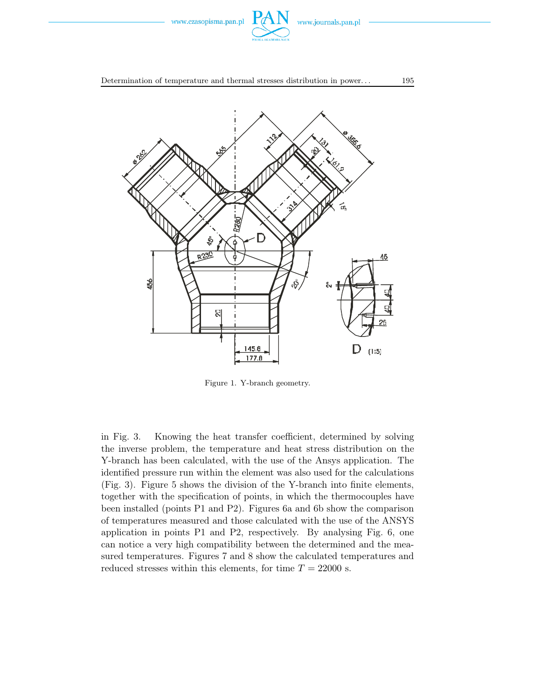

Determination of temperature and thermal stresses distribution in power...  $195$ 



Figure 1. Y-branch geometry.

in Fig. 3. Knowing the heat transfer coefficient, determined by solving the inverse problem, the temperature and heat stress distribution on the Y-branch has been calculated, with the use of the Ansys application. The identified pressure run within the element was also used for the calculations (Fig. 3). Figure 5 shows the division of the Y-branch into finite elements, together with the specification of points, in which the thermocouples have been installed (points P1 and P2). Figures 6a and 6b show the comparison of temperatures measured and those calculated with the use of the ANSYS application in points P1 and P2, respectively. By analysing Fig. 6, one can notice a very high compatibility between the determined and the measured temperatures. Figures 7 and 8 show the calculated temperatures and reduced stresses within this elements, for time  $T = 22000$  s.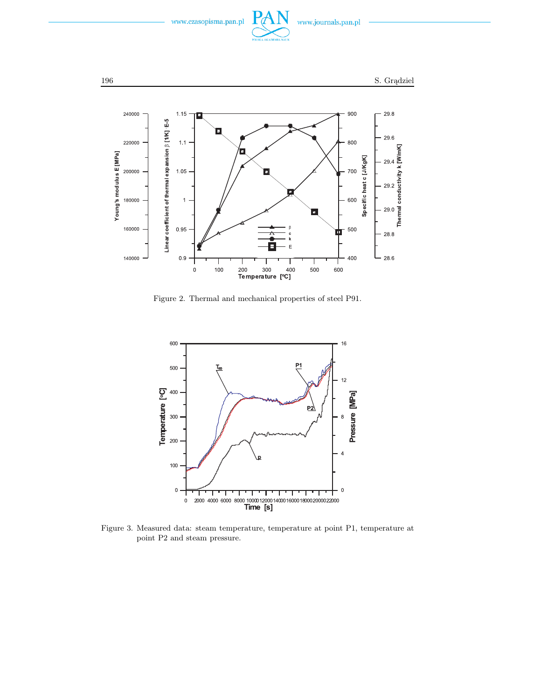



Figure 2. Thermal and mechanical properties of steel P91.



Figure 3. Measured data: steam temperature, temperature at point P1, temperature at point P2 and steam pressure.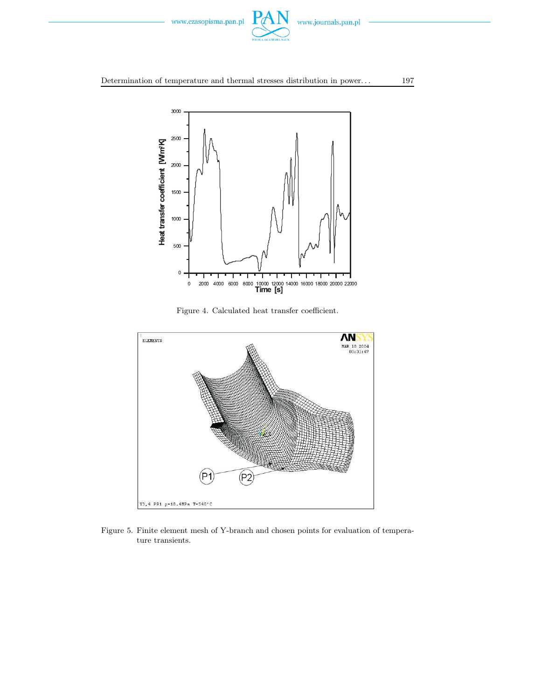

#### Determination of temperature and thermal stresses distribution in power. . . 197



Figure 4. Calculated heat transfer coefficient.



Figure 5. Finite element mesh of Y-branch and chosen points for evaluation of temperature transients.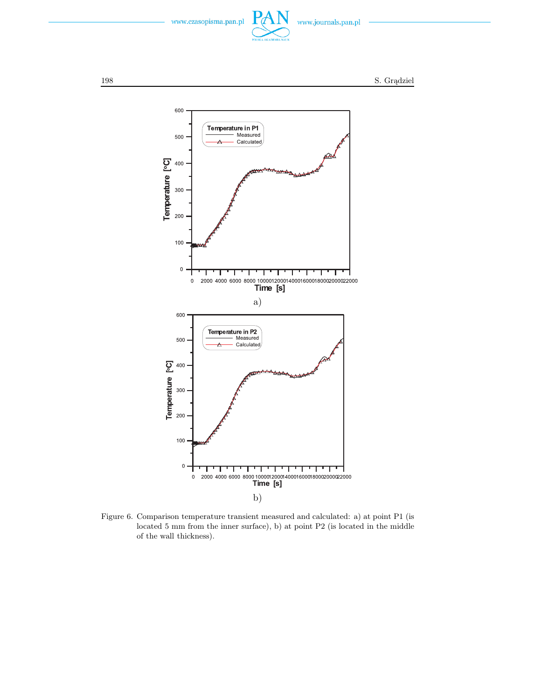





Figure 6. Comparison temperature transient measured and calculated: a) at point P1 (is located 5 mm from the inner surface), b) at point P2 (is located in the middle of the wall thickness).

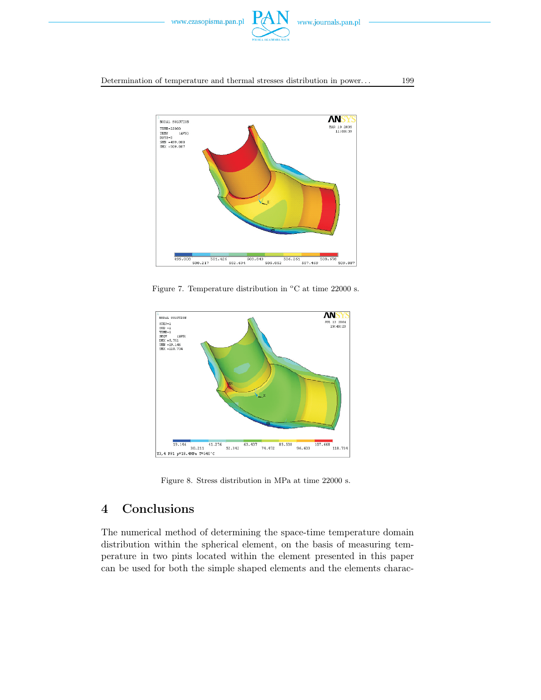

Determination of temperature and thermal stresses distribution in power. . . 199



Figure 7. Temperature distribution in  $\mathrm{^{\circ}C}$  at time 22000 s.



Figure 8. Stress distribution in MPa at time 22000 s.

# 4 Conclusions

The numerical method of determining the space-time temperature domain distribution within the spherical element, on the basis of measuring temperature in two pints located within the element presented in this paper can be used for both the simple shaped elements and the elements charac-